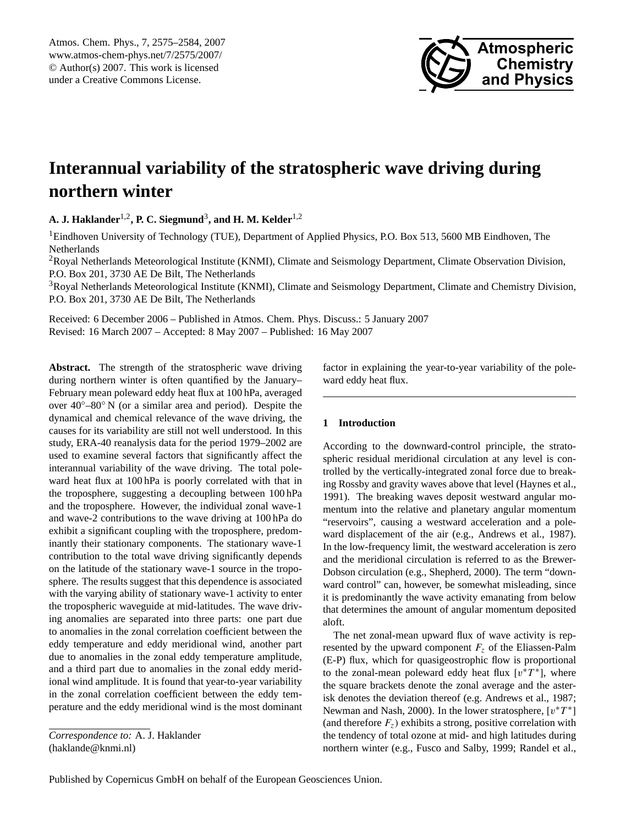

# <span id="page-0-0"></span>**Interannual variability of the stratospheric wave driving during northern winter**

**A. J. Haklander**1,2**, P. C. Siegmund**<sup>3</sup> **, and H. M. Kelder**1,2

<sup>1</sup>Eindhoven University of Technology (TUE), Department of Applied Physics, P.O. Box 513, 5600 MB Eindhoven, The Netherlands

<sup>2</sup>Royal Netherlands Meteorological Institute (KNMI), Climate and Seismology Department, Climate Observation Division, P.O. Box 201, 3730 AE De Bilt, The Netherlands

<sup>3</sup>Royal Netherlands Meteorological Institute (KNMI), Climate and Seismology Department, Climate and Chemistry Division, P.O. Box 201, 3730 AE De Bilt, The Netherlands

Received: 6 December 2006 – Published in Atmos. Chem. Phys. Discuss.: 5 January 2007 Revised: 16 March 2007 – Accepted: 8 May 2007 – Published: 16 May 2007

Abstract. The strength of the stratospheric wave driving during northern winter is often quantified by the January– February mean poleward eddy heat flux at 100 hPa, averaged over 40◦–80◦ N (or a similar area and period). Despite the dynamical and chemical relevance of the wave driving, the causes for its variability are still not well understood. In this study, ERA-40 reanalysis data for the period 1979–2002 are used to examine several factors that significantly affect the interannual variability of the wave driving. The total poleward heat flux at 100 hPa is poorly correlated with that in the troposphere, suggesting a decoupling between 100 hPa and the troposphere. However, the individual zonal wave-1 and wave-2 contributions to the wave driving at 100 hPa do exhibit a significant coupling with the troposphere, predominantly their stationary components. The stationary wave-1 contribution to the total wave driving significantly depends on the latitude of the stationary wave-1 source in the troposphere. The results suggest that this dependence is associated with the varying ability of stationary wave-1 activity to enter the tropospheric waveguide at mid-latitudes. The wave driving anomalies are separated into three parts: one part due to anomalies in the zonal correlation coefficient between the eddy temperature and eddy meridional wind, another part due to anomalies in the zonal eddy temperature amplitude, and a third part due to anomalies in the zonal eddy meridional wind amplitude. It is found that year-to-year variability in the zonal correlation coefficient between the eddy temperature and the eddy meridional wind is the most dominant factor in explaining the year-to-year variability of the poleward eddy heat flux.

# **1 Introduction**

According to the downward-control principle, the stratospheric residual meridional circulation at any level is controlled by the vertically-integrated zonal force due to breaking Rossby and gravity waves above that level (Haynes et al., 1991). The breaking waves deposit westward angular momentum into the relative and planetary angular momentum "reservoirs", causing a westward acceleration and a poleward displacement of the air (e.g., Andrews et al., 1987). In the low-frequency limit, the westward acceleration is zero and the meridional circulation is referred to as the Brewer-Dobson circulation (e.g., Shepherd, 2000). The term "downward control" can, however, be somewhat misleading, since it is predominantly the wave activity emanating from below that determines the amount of angular momentum deposited aloft.

The net zonal-mean upward flux of wave activity is represented by the upward component  $F<sub>z</sub>$  of the Eliassen-Palm (E-P) flux, which for quasigeostrophic flow is proportional to the zonal-mean poleward eddy heat flux  $[v^*T^*]$ , where the square brackets denote the zonal average and the asterisk denotes the deviation thereof (e.g. Andrews et al., 1987; Newman and Nash, 2000). In the lower stratosphere,  $[v^*T^*]$ (and therefore  $F_z$ ) exhibits a strong, positive correlation with the tendency of total ozone at mid- and high latitudes during northern winter (e.g., Fusco and Salby, 1999; Randel et al.,

*Correspondence to:* A. J. Haklander (haklande@knmi.nl)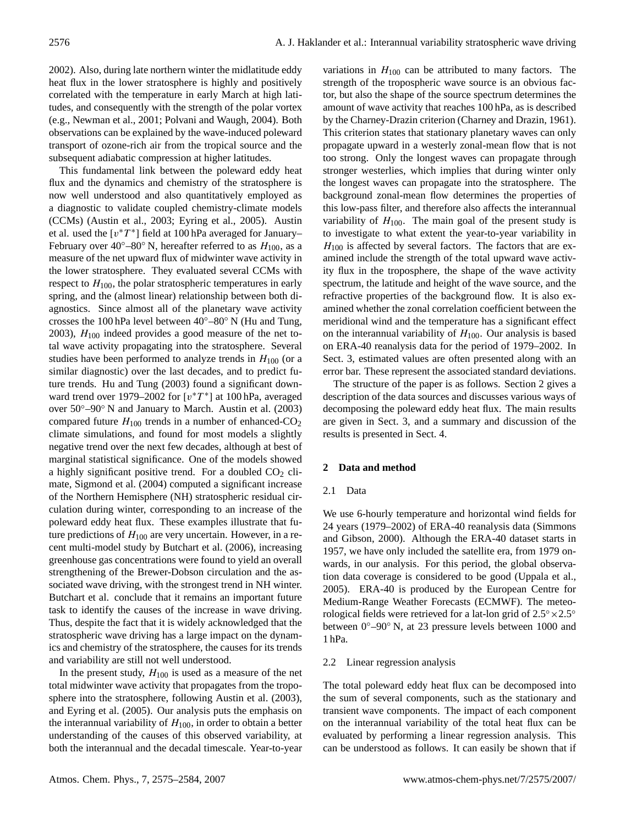2002). Also, during late northern winter the midlatitude eddy heat flux in the lower stratosphere is highly and positively correlated with the temperature in early March at high latitudes, and consequently with the strength of the polar vortex (e.g., Newman et al., 2001; Polvani and Waugh, 2004). Both observations can be explained by the wave-induced poleward transport of ozone-rich air from the tropical source and the subsequent adiabatic compression at higher latitudes.

This fundamental link between the poleward eddy heat flux and the dynamics and chemistry of the stratosphere is now well understood and also quantitatively employed as a diagnostic to validate coupled chemistry-climate models (CCMs) (Austin et al., 2003; Eyring et al., 2005). Austin et al. used the  $[v^*T^*]$  field at 100 hPa averaged for January– February over 40°–80° N, hereafter referred to as  $H_{100}$ , as a measure of the net upward flux of midwinter wave activity in the lower stratosphere. They evaluated several CCMs with respect to  $H_{100}$ , the polar stratospheric temperatures in early spring, and the (almost linear) relationship between both diagnostics. Since almost all of the planetary wave activity crosses the 100 hPa level between  $40^{\circ}$ –80° N (Hu and Tung, 2003),  $H<sub>100</sub>$  indeed provides a good measure of the net total wave activity propagating into the stratosphere. Several studies have been performed to analyze trends in  $H_{100}$  (or a similar diagnostic) over the last decades, and to predict future trends. Hu and Tung (2003) found a significant downward trend over 1979–2002 for  $[v^*T^*]$  at 100 hPa, averaged over 50◦–90◦ N and January to March. Austin et al. (2003) compared future  $H_{100}$  trends in a number of enhanced-CO<sub>2</sub> climate simulations, and found for most models a slightly negative trend over the next few decades, although at best of marginal statistical significance. One of the models showed a highly significant positive trend. For a doubled  $CO<sub>2</sub>$  climate, Sigmond et al. (2004) computed a significant increase of the Northern Hemisphere (NH) stratospheric residual circulation during winter, corresponding to an increase of the poleward eddy heat flux. These examples illustrate that future predictions of  $H_{100}$  are very uncertain. However, in a recent multi-model study by Butchart et al. (2006), increasing greenhouse gas concentrations were found to yield an overall strengthening of the Brewer-Dobson circulation and the associated wave driving, with the strongest trend in NH winter. Butchart et al. conclude that it remains an important future task to identify the causes of the increase in wave driving. Thus, despite the fact that it is widely acknowledged that the stratospheric wave driving has a large impact on the dynamics and chemistry of the stratosphere, the causes for its trends and variability are still not well understood.

In the present study,  $H_{100}$  is used as a measure of the net total midwinter wave activity that propagates from the troposphere into the stratosphere, following Austin et al. (2003), and Eyring et al. (2005). Our analysis puts the emphasis on the interannual variability of  $H_{100}$ , in order to obtain a better understanding of the causes of this observed variability, at both the interannual and the decadal timescale. Year-to-year

variations in  $H_{100}$  can be attributed to many factors. The strength of the tropospheric wave source is an obvious factor, but also the shape of the source spectrum determines the amount of wave activity that reaches 100 hPa, as is described by the Charney-Drazin criterion (Charney and Drazin, 1961). This criterion states that stationary planetary waves can only propagate upward in a westerly zonal-mean flow that is not too strong. Only the longest waves can propagate through stronger westerlies, which implies that during winter only the longest waves can propagate into the stratosphere. The background zonal-mean flow determines the properties of this low-pass filter, and therefore also affects the interannual variability of  $H_{100}$ . The main goal of the present study is to investigate to what extent the year-to-year variability in  $H_{100}$  is affected by several factors. The factors that are examined include the strength of the total upward wave activity flux in the troposphere, the shape of the wave activity spectrum, the latitude and height of the wave source, and the refractive properties of the background flow. It is also examined whether the zonal correlation coefficient between the meridional wind and the temperature has a significant effect on the interannual variability of  $H_{100}$ . Our analysis is based on ERA-40 reanalysis data for the period of 1979–2002. In Sect. 3, estimated values are often presented along with an error bar. These represent the associated standard deviations.

The structure of the paper is as follows. Section 2 gives a description of the data sources and discusses various ways of decomposing the poleward eddy heat flux. The main results are given in Sect. 3, and a summary and discussion of the results is presented in Sect. 4.

# **2 Data and method**

# 2.1 Data

We use 6-hourly temperature and horizontal wind fields for 24 years (1979–2002) of ERA-40 reanalysis data (Simmons and Gibson, 2000). Although the ERA-40 dataset starts in 1957, we have only included the satellite era, from 1979 onwards, in our analysis. For this period, the global observation data coverage is considered to be good (Uppala et al., 2005). ERA-40 is produced by the European Centre for Medium-Range Weather Forecasts (ECMWF). The meteorological fields were retrieved for a lat-lon grid of  $2.5° \times 2.5°$ between 0◦–90◦ N, at 23 pressure levels between 1000 and 1 hPa.

# 2.2 Linear regression analysis

The total poleward eddy heat flux can be decomposed into the sum of several components, such as the stationary and transient wave components. The impact of each component on the interannual variability of the total heat flux can be evaluated by performing a linear regression analysis. This can be understood as follows. It can easily be shown that if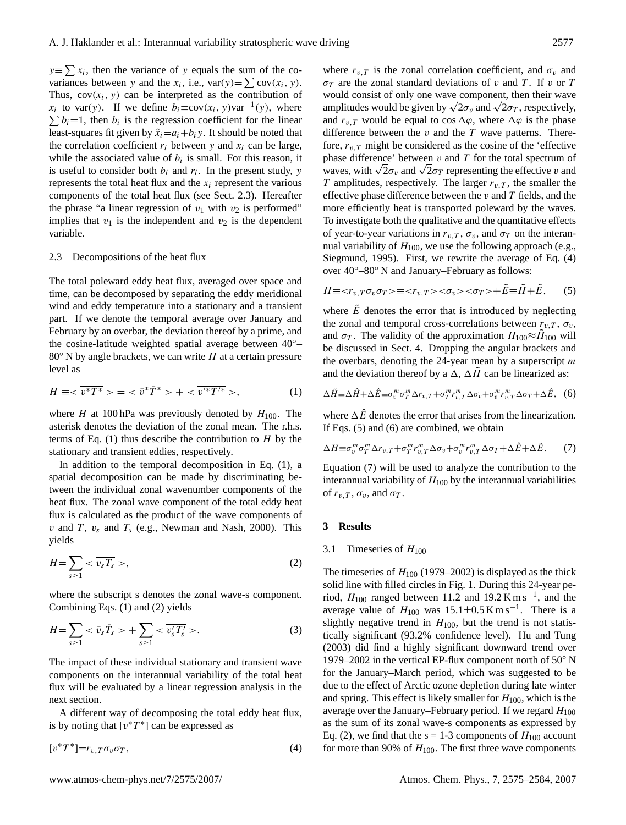$y \equiv \sum x_i$ , then the variance of y equals the sum of the covariances between y and the  $x_i$ , i.e.,  $var(y) = \sum cov(x_i, y)$ . Thus,  $cov(x_i, y)$  can be interpreted as the contribution of  $x_i$  to var(y). If we define  $b_i \equiv cov(x_i, y)var^{-1}(y)$ , where  $\sum b_i = 1$ , then  $b_i$  is the regression coefficient for the linear least-squares fit given by  $\tilde{x}_i = a_i + b_i y$ . It should be noted that the correlation coefficient  $r_i$  between y and  $x_i$  can be large, while the associated value of  $b_i$  is small. For this reason, it is useful to consider both  $b_i$  and  $r_i$ . In the present study, y represents the total heat flux and the  $x_i$  represent the various components of the total heat flux (see Sect. 2.3). Hereafter the phrase "a linear regression of  $v_1$  with  $v_2$  is performed" implies that  $v_1$  is the independent and  $v_2$  is the dependent variable.

## 2.3 Decompositions of the heat flux

The total poleward eddy heat flux, averaged over space and time, can be decomposed by separating the eddy meridional wind and eddy temperature into a stationary and a transient part. If we denote the temporal average over January and February by an overbar, the deviation thereof by a prime, and the cosine-latitude weighted spatial average between 40◦–  $80°$  N by angle brackets, we can write H at a certain pressure level as

<span id="page-2-0"></span>
$$
H \equiv \langle \overline{v^*T^*} \rangle = \langle \overline{v^*T^*} \rangle + \langle \overline{v'^*T'^*} \rangle, \tag{1}
$$

where H at 100 hPa was previously denoted by  $H_{100}$ . The asterisk denotes the deviation of the zonal mean. The r.h.s. terms of Eq.  $(1)$  thus describe the contribution to H by the stationary and transient eddies, respectively.

In addition to the temporal decomposition in Eq. [\(1\)](#page-2-0), a spatial decomposition can be made by discriminating between the individual zonal wavenumber components of the heat flux. The zonal wave component of the total eddy heat flux is calculated as the product of the wave components of v and T,  $v_s$  and  $T_s$  (e.g., Newman and Nash, 2000). This yields

<span id="page-2-1"></span>
$$
H = \sum_{s \ge 1} < \overline{v_s T_s} > \tag{2}
$$

where the subscript s denotes the zonal wave-s component. Combining Eqs. [\(1\)](#page-2-0) and [\(2\)](#page-2-1) yields

<span id="page-2-6"></span>
$$
H = \sum_{s \ge 1} < \bar{v}_s \bar{T}_s > + \sum_{s \ge 1} < \overline{v'_s T'_s} > . \tag{3}
$$

The impact of these individual stationary and transient wave components on the interannual variability of the total heat flux will be evaluated by a linear regression analysis in the next section.

A different way of decomposing the total eddy heat flux, is by noting that  $[v^*T^*]$  can be expressed as

<span id="page-2-2"></span>
$$
[v^*T^*]=r_{v,T}\sigma_v\sigma_T,\tag{4}
$$

where  $r_{v,T}$  is the zonal correlation coefficient, and  $\sigma_v$  and  $\sigma_T$  are the zonal standard deviations of v and T. If v or T would consist of only one wave component, then their wave would consist of only one wave component, then their wave amplitudes would be given by  $\sqrt{2}\sigma_v$  and  $\sqrt{2}\sigma_T$ , respectively, and  $r_{v,T}$  would be equal to cos  $\Delta\varphi$ , where  $\Delta\varphi$  is the phase difference between the  $v$  and the  $T$  wave patterns. Therefore,  $r_{v,T}$  might be considered as the cosine of the 'effective phase difference' between  $v$  and  $T$  for the total spectrum of phase difference between v and I for the total spectrum of waves, with  $\sqrt{2}\sigma_y$  and  $\sqrt{2}\sigma_T$  representing the effective v and T amplitudes, respectively. The larger  $r_{v,T}$ , the smaller the effective phase difference between the  $v$  and  $T$  fields, and the more efficiently heat is transported poleward by the waves. To investigate both the qualitative and the quantitative effects of year-to-year variations in  $r_{v,T}$ ,  $\sigma_v$ , and  $\sigma_T$  on the interannual variability of  $H_{100}$ , we use the following approach (e.g., Siegmund, 1995). First, we rewrite the average of Eq. [\(4\)](#page-2-2) over 40◦–80◦ N and January–February as follows:

<span id="page-2-3"></span>
$$
H \equiv \langle \overline{r_{v,T} \sigma_v \sigma_T} \rangle \equiv \langle \overline{r_{v,T}} \rangle \langle \overline{\sigma_v} \rangle \langle \overline{\sigma_T} \rangle + \tilde{E} \equiv \tilde{H} + \tilde{E}, \qquad (5)
$$

where  $\overline{E}$  denotes the error that is introduced by neglecting the zonal and temporal cross-correlations between  $r_{v,T}$ ,  $\sigma_v$ , and  $\sigma_T$ . The validity of the approximation  $H_{100} \approx \tilde{H}_{100}$  will be discussed in Sect. 4. Dropping the angular brackets and the overbars, denoting the  $24$ -year mean by a superscript  $m$ and the deviation thereof by a  $\Delta$ ,  $\Delta H$  can be linearized as:

<span id="page-2-4"></span>
$$
\Delta \tilde{H} = \Delta \hat{H} + \Delta \hat{E} = \sigma_v^m \sigma_T^m \Delta r_{v,T} + \sigma_T^m r_{v,T}^m \Delta \sigma_v + \sigma_v^m r_{v,T}^m \Delta \sigma_T + \Delta \hat{E}, \quad (6)
$$

where  $\Delta \hat{E}$  denotes the error that arises from the linearization. If Eqs. [\(5\)](#page-2-3) and [\(6\)](#page-2-4) are combined, we obtain

<span id="page-2-5"></span>
$$
\Delta H \equiv \sigma_v^m \sigma_T^m \Delta r_{v,T} + \sigma_T^m r_{v,T}^m \Delta \sigma_v + \sigma_v^m r_{v,T}^m \Delta \sigma_T + \Delta \hat{E} + \Delta \tilde{E}.
$$
 (7)

Equation [\(7\)](#page-2-5) will be used to analyze the contribution to the interannual variability of  $H_{100}$  by the interannual variabilities of  $r_{v,T}$ ,  $\sigma_v$ , and  $\sigma_T$ .

## **3 Results**

#### 3.1 Timeseries of  $H_{100}$

The timeseries of  $H_{100}$  (1979–2002) is displayed as the thick solid line with filled circles in Fig. 1. During this 24-year period,  $H_{100}$  ranged between 11.2 and 19.2 K m s<sup>-1</sup>, and the average value of  $H_{100}$  was 15.1±0.5 K m s<sup>-1</sup>. There is a slightly negative trend in  $H_{100}$ , but the trend is not statistically significant (93.2% confidence level). Hu and Tung (2003) did find a highly significant downward trend over 1979–2002 in the vertical EP-flux component north of 50◦ N for the January–March period, which was suggested to be due to the effect of Arctic ozone depletion during late winter and spring. This effect is likely smaller for  $H_{100}$ , which is the average over the January–February period. If we regard  $H_{100}$ as the sum of its zonal wave-s components as expressed by Eq. [\(2\)](#page-2-1), we find that the  $s = 1-3$  components of  $H_{100}$  account for more than 90% of  $H_{100}$ . The first three wave components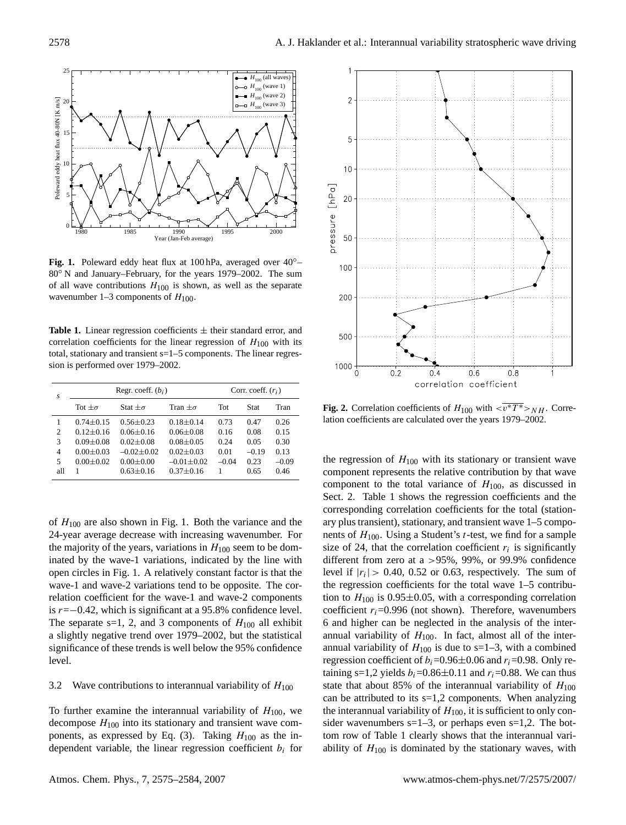

**Fig. 1.** Poleward eddy heat flux at 100 hPa, averaged over 40◦– 80<sup>°</sup> N and January–February, for the years 1979–2002. The sum of all wave contributions  $H_{100}$  is shown, as well as the separate wavenumber 1–3 components of  $H_{100}$ .

**Table 1.** Linear regression coefficients  $\pm$  their standard error, and correlation coefficients for the linear regression of  $H_{100}$  with its total, stationary and transient s=1–5 components. The linear regression is performed over 1979–2002.

| s   | Regr. coeff. $(b_i)$ |                |                 | Corr. coeff. $(r_i)$ |         |         |
|-----|----------------------|----------------|-----------------|----------------------|---------|---------|
|     | Tot $+\sigma$        | Stat $+\sigma$ | Tran $+\sigma$  | Tot                  | Stat    | Tran    |
|     | $0.74 + 0.15$        | $0.56 + 0.23$  | $0.18 + 0.14$   | 0.73                 | 0.47    | 0.26    |
| 2   | $0.12 + 0.16$        | $0.06 + 0.16$  | $0.06 + 0.08$   | 0.16                 | 0.08    | 0.15    |
| 3   | $0.09 \pm 0.08$      | $0.02 + 0.08$  | $0.08 + 0.05$   | 0.24                 | 0.05    | 0.30    |
| 4   | $0.00 + 0.03$        | $-0.02 + 0.02$ | $0.02 + 0.03$   | 0.01                 | $-0.19$ | 0.13    |
| 5   | $0.00 + 0.02$        | $0.00 + 0.00$  | $-0.01 + 0.02$  | $-0.04$              | 0.23    | $-0.09$ |
| all |                      | $0.63 + 0.16$  | $0.37 \pm 0.16$ |                      | 0.65    | 0.46    |

of  $H_{100}$  are also shown in Fig. 1. Both the variance and the 24-year average decrease with increasing wavenumber. For the majority of the years, variations in  $H_{100}$  seem to be dominated by the wave-1 variations, indicated by the line with open circles in Fig. 1. A relatively constant factor is that the wave-1 and wave-2 variations tend to be opposite. The correlation coefficient for the wave-1 and wave-2 components is r=−0.42, which is significant at a 95.8% confidence level. The separate s=1, 2, and 3 components of  $H_{100}$  all exhibit a slightly negative trend over 1979–2002, but the statistical significance of these trends is well below the 95% confidence level.

## 3.2 Wave contributions to interannual variability of  $H_{100}$

To further examine the interannual variability of  $H_{100}$ , we decompose  $H_{100}$  into its stationary and transient wave com-ponents, as expressed by Eq. [\(3\)](#page-2-6). Taking  $H_{100}$  as the independent variable, the linear regression coefficient  $b_i$  for



**Fig. 2.** Correlation coefficients of  $H_{100}$  with  $\langle v^*T^* \rangle_{NH}$ . Correlation coefficients are calculated over the years 1979–2002.

the regression of  $H_{100}$  with its stationary or transient wave component represents the relative contribution by that wave component to the total variance of  $H_{100}$ , as discussed in Sect. 2. Table 1 shows the regression coefficients and the corresponding correlation coefficients for the total (stationary plus transient), stationary, and transient wave 1–5 components of  $H_{100}$ . Using a Student's *t*-test, we find for a sample size of 24, that the correlation coefficient  $r_i$  is significantly different from zero at a >95%, 99%, or 99.9% confidence level if  $|r_i| > 0.40$ , 0.52 or 0.63, respectively. The sum of the regression coefficients for the total wave 1–5 contribution to  $H_{100}$  is 0.95 $\pm$ 0.05, with a corresponding correlation coefficient  $r_i$ =0.996 (not shown). Therefore, wavenumbers 6 and higher can be neglected in the analysis of the interannual variability of  $H_{100}$ . In fact, almost all of the interannual variability of  $H_{100}$  is due to s=1–3, with a combined regression coefficient of  $b_i=0.96\pm0.06$  and  $r_i=0.98$ . Only retaining s=1,2 yields  $b_i=0.86\pm0.11$  and  $r_i=0.88$ . We can thus state that about 85% of the interannual variability of  $H_{100}$ can be attributed to its  $s=1,2$  components. When analyzing the interannual variability of  $H_{100}$ , it is sufficient to only consider wavenumbers  $s=1-3$ , or perhaps even  $s=1,2$ . The bottom row of Table 1 clearly shows that the interannual variability of  $H_{100}$  is dominated by the stationary waves, with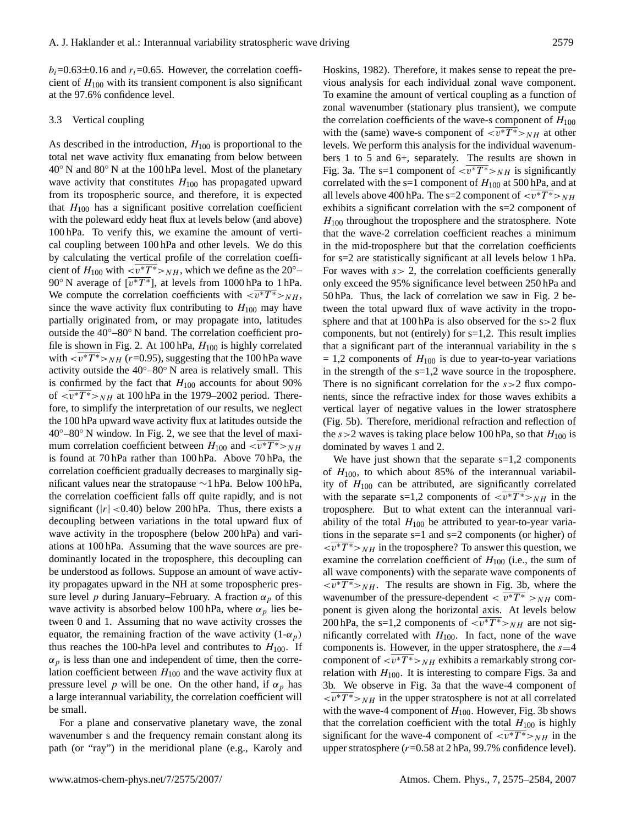$b_i=0.63\pm0.16$  and  $r_i=0.65$ . However, the correlation coefficient of  $H_{100}$  with its transient component is also significant at the 97.6% confidence level.

### 3.3 Vertical coupling

As described in the introduction,  $H_{100}$  is proportional to the total net wave activity flux emanating from below between 40◦ N and 80◦ N at the 100 hPa level. Most of the planetary wave activity that constitutes  $H_{100}$  has propagated upward from its tropospheric source, and therefore, it is expected that  $H_{100}$  has a significant positive correlation coefficient with the poleward eddy heat flux at levels below (and above) 100 hPa. To verify this, we examine the amount of vertical coupling between 100 hPa and other levels. We do this by calculating the vertical profile of the correlation coefficient of  $H_{100}$  with  $\langle \overline{v^*T^*} \rangle_{NH}$ , which we define as the 20°– 90° N average of  $\left[\overline{v^*T^*}\right]$ , at levels from 1000 hPa to 1 hPa. We compute the correlation coefficients with  $\langle \overline{v^*T^*} \rangle_{NH}$ , since the wave activity flux contributing to  $H_{100}$  may have partially originated from, or may propagate into, latitudes outside the 40◦–80◦ N band. The correlation coefficient profile is shown in Fig. 2. At 100 hPa,  $H_{100}$  is highly correlated with  $\langle \overline{v^*T^*} \rangle_{NH}$  (r=0.95), suggesting that the 100 hPa wave activity outside the  $40°-80°$  N area is relatively small. This is confirmed by the fact that  $H_{100}$  accounts for about 90% of  $\langle \overline{v^*T^*} \rangle_{NH}$  at 100 hPa in the 1979–2002 period. Therefore, to simplify the interpretation of our results, we neglect the 100 hPa upward wave activity flux at latitudes outside the  $40^{\circ}$ –80 $^{\circ}$  N window. In Fig. 2, we see that the level of maximum correlation coefficient between  $H_{100}$  and  $\langle \overline{v^*T^*} \rangle_{NH}$ is found at 70 hPa rather than 100 hPa. Above 70 hPa, the correlation coefficient gradually decreases to marginally significant values near the stratopause ∼1 hPa. Below 100 hPa, the correlation coefficient falls off quite rapidly, and is not significant ( $|r| < 0.40$ ) below 200 hPa. Thus, there exists a decoupling between variations in the total upward flux of wave activity in the troposphere (below 200 hPa) and variations at 100 hPa. Assuming that the wave sources are predominantly located in the troposphere, this decoupling can be understood as follows. Suppose an amount of wave activity propagates upward in the NH at some tropospheric pressure level p during January–February. A fraction  $\alpha_p$  of this wave activity is absorbed below 100 hPa, where  $\alpha_p$  lies between 0 and 1. Assuming that no wave activity crosses the equator, the remaining fraction of the wave activity  $(1-\alpha_p)$ thus reaches the 100-hPa level and contributes to  $H_{100}$ . If  $\alpha_p$  is less than one and independent of time, then the correlation coefficient between  $H_{100}$  and the wave activity flux at pressure level p will be one. On the other hand, if  $\alpha_p$  has a large interannual variability, the correlation coefficient will be small.

For a plane and conservative planetary wave, the zonal wavenumber s and the frequency remain constant along its path (or "ray") in the meridional plane (e.g., Karoly and Hoskins, 1982). Therefore, it makes sense to repeat the previous analysis for each individual zonal wave component. To examine the amount of vertical coupling as a function of zonal wavenumber (stationary plus transient), we compute the correlation coefficients of the wave-s component of  $H_{100}$ with the (same) wave-s component of  $\langle v^*T^* \rangle_{NH}$  at other levels. We perform this analysis for the individual wavenumbers 1 to 5 and 6+, separately. The results are shown in Fig. 3a. The s=1 component of  $\langle \overline{v^*T^*} \rangle_{NH}$  is significantly correlated with the s=1 component of  $H_{100}$  at 500 hPa, and at all levels above 400 hPa. The s=2 component of  $\langle \overline{v^*T^*} \rangle_{NH}$ exhibits a significant correlation with the s=2 component of  $H_{100}$  throughout the troposphere and the stratosphere. Note that the wave-2 correlation coefficient reaches a minimum in the mid-troposphere but that the correlation coefficients for s=2 are statistically significant at all levels below 1 hPa. For waves with  $s > 2$ , the correlation coefficients generally only exceed the 95% significance level between 250 hPa and 50 hPa. Thus, the lack of correlation we saw in Fig. 2 between the total upward flux of wave activity in the troposphere and that at 100 hPa is also observed for the s>2 flux components, but not (entirely) for s=1,2. This result implies that a significant part of the interannual variability in the s  $= 1.2$  components of  $H_{100}$  is due to year-to-year variations in the strength of the  $s=1,2$  wave source in the troposphere. There is no significant correlation for the  $s > 2$  flux components, since the refractive index for those waves exhibits a vertical layer of negative values in the lower stratosphere (Fig. 5b). Therefore, meridional refraction and reflection of the  $s > 2$  waves is taking place below 100 hPa, so that  $H_{100}$  is dominated by waves 1 and 2.

We have just shown that the separate  $s=1,2$  components of  $H_{100}$ , to which about 85% of the interannual variability of  $H_{100}$  can be attributed, are significantly correlated with the separate s=1,2 components of  $\langle \overline{v^*T^*} \rangle_{NH}$  in the troposphere. But to what extent can the interannual variability of the total  $H_{100}$  be attributed to year-to-year variations in the separate s=1 and s=2 components (or higher) of  $\langle \overline{v^*T^*} \rangle_{NH}$  in the troposphere? To answer this question, we examine the correlation coefficient of  $H_{100}$  (i.e., the sum of all wave components) with the separate wave components of  $\langle \overline{v^*T^*} \rangle_{NH}$ . The results are shown in Fig. 3b, where the wavenumber of the pressure-dependent  $\langle \overline{v^*T^*} \rangle_{NH}$  component is given along the horizontal axis. At levels below 200 hPa, the s=1,2 components of  $\langle \overline{v^*T^*} \rangle_{NH}$  are not significantly correlated with  $H_{100}$ . In fact, none of the wave components is. However, in the upper stratosphere, the  $s=4$ component of  $\langle v^*T^* \rangle_{NH}$  exhibits a remarkably strong correlation with  $H_{100}$ . It is interesting to compare Figs. 3a and 3b. We observe in Fig. 3a that the wave-4 component of  $\langle \overline{v^*T^*} \rangle_{NH}$  in the upper stratosphere is not at all correlated with the wave-4 component of  $H_{100}$ . However, Fig. 3b shows that the correlation coefficient with the total  $H_{100}$  is highly significant for the wave-4 component of  $\langle v^*T^* \rangle_{NH}$  in the upper stratosphere ( $r=0.58$  at 2 hPa, 99.7% confidence level).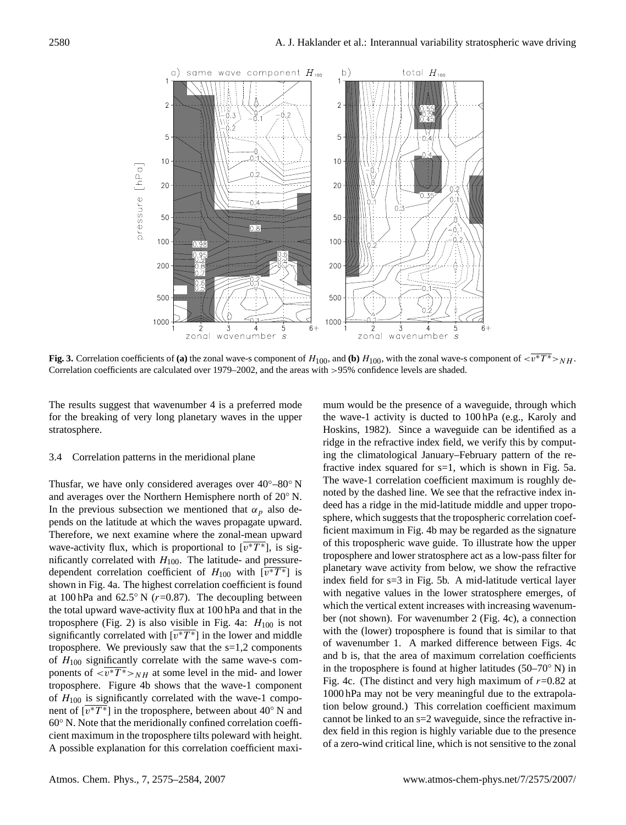

**Fig. 3.** Correlation coefficients of (a) the zonal wave-s component of  $H_{100}$ , and (b)  $H_{100}$ , with the zonal wave-s component of  $\langle v^*T^* \rangle_{NH}$ . Correlation coefficients are calculated over 1979–2002, and the areas with >95% confidence levels are shaded.

The results suggest that wavenumber 4 is a preferred mode for the breaking of very long planetary waves in the upper stratosphere.

## 3.4 Correlation patterns in the meridional plane

Thusfar, we have only considered averages over  $40^{\circ} - 80^{\circ}$  N and averages over the Northern Hemisphere north of 20◦ N. In the previous subsection we mentioned that  $\alpha_p$  also depends on the latitude at which the waves propagate upward. Therefore, we next examine where the zonal-mean upward wave-activity flux, which is proportional to  $\overline{v^*T^*}$ , is significantly correlated with  $H_{100}$ . The latitude- and pressuredependent correlation coefficient of  $H_{100}$  with  $[\overline{v^*T^*}]$  is shown in Fig. 4a. The highest correlation coefficient is found at 100 hPa and 62.5 $\degree$  N (r=0.87). The decoupling between the total upward wave-activity flux at 100 hPa and that in the troposphere (Fig. 2) is also visible in Fig. 4a:  $H_{100}$  is not significantly correlated with  $\sqrt{v^*T^*}$  in the lower and middle troposphere. We previously saw that the s=1,2 components of  $H_{100}$  significantly correlate with the same wave-s components of  $\langle \overline{v^*T^*} \rangle_{NH}$  at some level in the mid- and lower troposphere. Figure 4b shows that the wave-1 component of  $H_{100}$  is significantly correlated with the wave-1 component of  $\lfloor \overline{v^*T^*} \rfloor$  in the troposphere, between about 40° N and 60◦ N. Note that the meridionally confined correlation coefficient maximum in the troposphere tilts poleward with height. A possible explanation for this correlation coefficient maximum would be the presence of a waveguide, through which the wave-1 activity is ducted to 100 hPa (e.g., Karoly and Hoskins, 1982). Since a waveguide can be identified as a ridge in the refractive index field, we verify this by computing the climatological January–February pattern of the refractive index squared for s=1, which is shown in Fig. 5a. The wave-1 correlation coefficient maximum is roughly denoted by the dashed line. We see that the refractive index indeed has a ridge in the mid-latitude middle and upper troposphere, which suggests that the tropospheric correlation coefficient maximum in Fig. 4b may be regarded as the signature of this tropospheric wave guide. To illustrate how the upper troposphere and lower stratosphere act as a low-pass filter for planetary wave activity from below, we show the refractive index field for s=3 in Fig. 5b. A mid-latitude vertical layer with negative values in the lower stratosphere emerges, of which the vertical extent increases with increasing wavenumber (not shown). For wavenumber 2 (Fig. 4c), a connection with the (lower) troposphere is found that is similar to that of wavenumber 1. A marked difference between Figs. 4c and b is, that the area of maximum correlation coefficients in the troposphere is found at higher latitudes  $(50-70° \text{ N})$  in Fig. 4c. (The distinct and very high maximum of  $r=0.82$  at 1000 hPa may not be very meaningful due to the extrapolation below ground.) This correlation coefficient maximum cannot be linked to an s=2 waveguide, since the refractive index field in this region is highly variable due to the presence of a zero-wind critical line, which is not sensitive to the zonal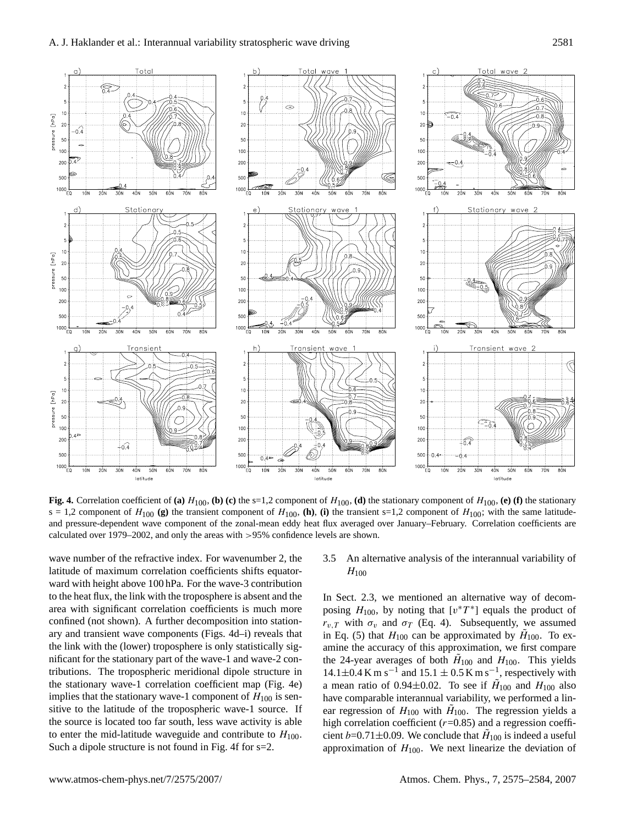

**Fig. 4.** Correlation coefficient of (a)  $H_{100}$ , (b) (c) the s=1,2 component of  $H_{100}$ , (d) the stationary component of  $H_{100}$ , (e) (f) the stationary  $s = 1,2$  component of  $H_{100}$  (g) the transient component of  $H_{100}$ , (h), (i) the transient s=1,2 component of  $H_{100}$ ; with the same latitudeand pressure-dependent wave component of the zonal-mean eddy heat flux averaged over January–February. Correlation coefficients are calculated over 1979–2002, and only the areas with >95% confidence levels are shown.

wave number of the refractive index. For wavenumber 2, the latitude of maximum correlation coefficients shifts equatorward with height above 100 hPa. For the wave-3 contribution to the heat flux, the link with the troposphere is absent and the area with significant correlation coefficients is much more confined (not shown). A further decomposition into stationary and transient wave components (Figs. 4d–i) reveals that the link with the (lower) troposphere is only statistically significant for the stationary part of the wave-1 and wave-2 contributions. The tropospheric meridional dipole structure in the stationary wave-1 correlation coefficient map (Fig. 4e) implies that the stationary wave-1 component of  $H_{100}$  is sensitive to the latitude of the tropospheric wave-1 source. If the source is located too far south, less wave activity is able to enter the mid-latitude waveguide and contribute to  $H_{100}$ . Such a dipole structure is not found in Fig. 4f for s=2.

# 3.5 An alternative analysis of the interannual variability of  $H_{100}$

In Sect. 2.3, we mentioned an alternative way of decomposing  $H_{100}$ , by noting that  $[v^*T^*]$  equals the product of  $r_{v,T}$  with  $\sigma_v$  and  $\sigma_T$  (Eq. 4). Subsequently, we assumed in Eq. (5) that  $H_{100}$  can be approximated by  $H_{100}$ . To examine the accuracy of this approximation, we first compare the 24-year averages of both  $H_{100}$  and  $H_{100}$ . This yields  $14.1 \pm 0.4$  K m s<sup>-1</sup> and  $15.1 \pm 0.5$  K m s<sup>-1</sup>, respectively with a mean ratio of 0.94 $\pm$ 0.02. To see if  $H_{100}$  and  $H_{100}$  also have comparable interannual variability, we performed a linear regression of  $H_{100}$  with  $H_{100}$ . The regression yields a high correlation coefficient ( $r=0.85$ ) and a regression coefficient b=0.71 $\pm$ 0.09. We conclude that  $H_{100}$  is indeed a useful approximation of  $H_{100}$ . We next linearize the deviation of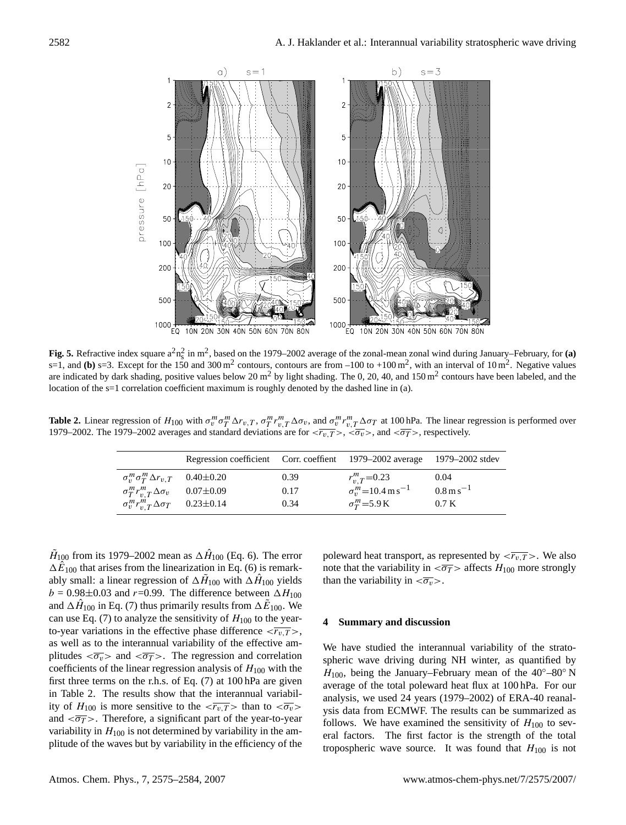

**Fig. 5.** Refractive index square  $a^2n_s^2$  in m<sup>2</sup>, based on the 1979–2002 average of the zonal-mean zonal wind during January–February, for **(a)** s=1, and (b) s=3. Except for the 150 and 300 m<sup>2</sup> contours, contours are from  $-100$  to  $+100$  m<sup>2</sup>, with an interval of 10 m<sup>2</sup>. Negative values are indicated by dark shading, positive values below 20 m<sup>2</sup> by light shading. The 0, 20, 40, and 150 m<sup>2</sup> contours have been labeled, and the location of the s=1 correlation coefficient maximum is roughly denoted by the dashed line in (a).

**Table 2.** Linear regression of  $H_{100}$  with  $\sigma_{v}^{m} \sigma_{T}^{m} \Delta r_{v,T}$ ,  $\sigma_{T}^{m} r_{v,T}^{m} \Delta \sigma_{v}$ , and  $\sigma_{v}^{m} r_{v,T}^{m} \Delta \sigma_{T}$  at 100 hPa. The linear regression is performed over 1979–2002. The 1979–2002 averages and standard deviations are for  $\langle \overline{r_v}, \overline{T} \rangle$ ,  $\langle \langle \overline{\sigma_v} \rangle$ , and  $\langle \langle \overline{\sigma_T} \rangle$ , respectively.

|                                                  | Regression coefficient Corr. coeffient 1979–2002 average 1979–2002 stdev |      |                                      |                            |
|--------------------------------------------------|--------------------------------------------------------------------------|------|--------------------------------------|----------------------------|
| $\sigma_v^m \sigma_T^m \Delta r_{v,T}$ 0.40±0.20 |                                                                          | 0.39 | $r_{v}^{m}$ <sub>T</sub> =0.23       | 0.04                       |
| $\sigma_T^m r_{vT}^m \Delta \sigma_v$ 0.07±0.09  |                                                                          | 0.17 | $\sigma_v^m$ =10.4 m s <sup>-1</sup> | $0.8 \,\mathrm{m\,s}^{-1}$ |
| $\sigma_v^m r_{v.T}^m \Delta \sigma_T$ 0.23±0.14 |                                                                          | 0.34 | $\sigma_T^m$ =5.9 K                  | 0.7K                       |

 $\tilde{H}_{100}$  from its 1979–2002 mean as  $\Delta \hat{H}_{100}$  (Eq. [6\)](#page-2-4). The error  $\Delta \hat{E}_{100}$  that arises from the linearization in Eq. [\(6\)](#page-2-4) is remarkably small: a linear regression of  $\Delta \tilde{H}_{100}$  with  $\Delta \hat{H}_{100}$  yields  $b = 0.98 \pm 0.03$  and  $r = 0.99$ . The difference between  $\Delta H_{100}$ and  $\Delta \hat{H}_{100}$  in Eq. [\(7\)](#page-2-5) thus primarily results from  $\Delta \tilde{E}_{100}$ . We can use Eq. [\(7\)](#page-2-5) to analyze the sensitivity of  $H_{100}$  to the yearto-year variations in the effective phase difference  $\langle \overline{r_{v,T}} \rangle$ , as well as to the interannual variability of the effective amplitudes  $\langle \overline{\sigma_{v}} \rangle$  and  $\langle \overline{\sigma_{T}} \rangle$ . The regression and correlation coefficients of the linear regression analysis of  $H_{100}$  with the first three terms on the r.h.s. of Eq. [\(7\)](#page-2-5) at 100 hPa are given in Table 2. The results show that the interannual variability of  $H_{100}$  is more sensitive to the  $\langle \overline{r_{v,T}} \rangle$  than to  $\langle \overline{\sigma_v} \rangle$ and  $\langle \overline{\sigma_T} \rangle$ . Therefore, a significant part of the year-to-year variability in  $H_{100}$  is not determined by variability in the amplitude of the waves but by variability in the efficiency of the

poleward heat transport, as represented by  $\langle \overline{r_{v,T}} \rangle$ . We also note that the variability in  $\langle \overline{\sigma_T} \rangle$  affects  $H_{100}$  more strongly than the variability in  $\langle \overline{\sigma_v} \rangle$ .

## **4 Summary and discussion**

We have studied the interannual variability of the stratospheric wave driving during NH winter, as quantified by  $H_{100}$ , being the January–February mean of the 40°–80° N average of the total poleward heat flux at 100 hPa. For our analysis, we used 24 years (1979–2002) of ERA-40 reanalysis data from ECMWF. The results can be summarized as follows. We have examined the sensitivity of  $H_{100}$  to several factors. The first factor is the strength of the total tropospheric wave source. It was found that  $H_{100}$  is not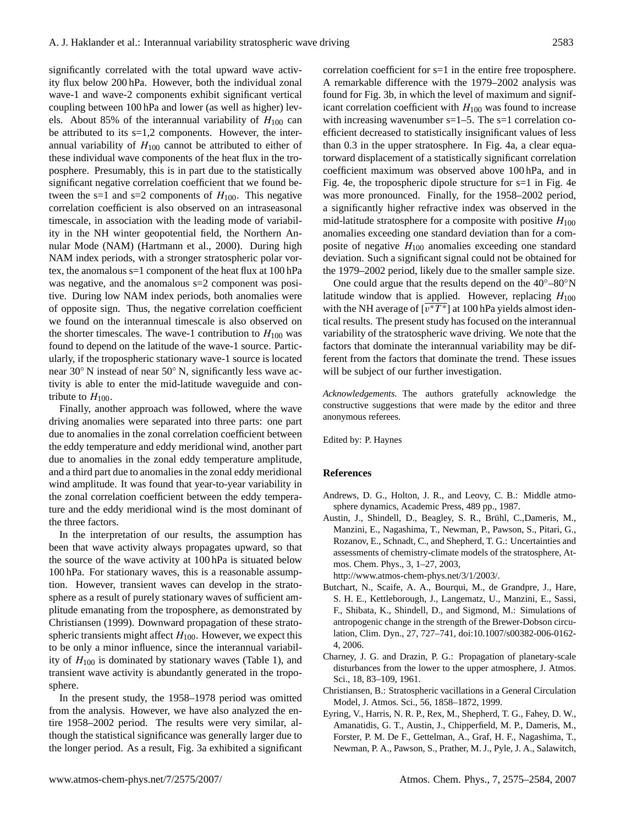significantly correlated with the total upward wave activity flux below 200 hPa. However, both the individual zonal wave-1 and wave-2 components exhibit significant vertical coupling between 100 hPa and lower (as well as higher) levels. About 85% of the interannual variability of  $H_{100}$  can be attributed to its  $s=1,2$  components. However, the interannual variability of  $H_{100}$  cannot be attributed to either of these individual wave components of the heat flux in the troposphere. Presumably, this is in part due to the statistically significant negative correlation coefficient that we found between the s=1 and s=2 components of  $H_{100}$ . This negative correlation coefficient is also observed on an intraseasonal timescale, in association with the leading mode of variability in the NH winter geopotential field, the Northern Annular Mode (NAM) (Hartmann et al., 2000). During high NAM index periods, with a stronger stratospheric polar vortex, the anomalous s=1 component of the heat flux at 100 hPa was negative, and the anomalous  $s=2$  component was positive. During low NAM index periods, both anomalies were of opposite sign. Thus, the negative correlation coefficient we found on the interannual timescale is also observed on the shorter timescales. The wave-1 contribution to  $H_{100}$  was found to depend on the latitude of the wave-1 source. Particularly, if the tropospheric stationary wave-1 source is located near 30◦ N instead of near 50◦ N, significantly less wave activity is able to enter the mid-latitude waveguide and contribute to  $H_{100}$ .

Finally, another approach was followed, where the wave driving anomalies were separated into three parts: one part due to anomalies in the zonal correlation coefficient between the eddy temperature and eddy meridional wind, another part due to anomalies in the zonal eddy temperature amplitude, and a third part due to anomalies in the zonal eddy meridional wind amplitude. It was found that year-to-year variability in the zonal correlation coefficient between the eddy temperature and the eddy meridional wind is the most dominant of the three factors.

In the interpretation of our results, the assumption has been that wave activity always propagates upward, so that the source of the wave activity at 100 hPa is situated below 100 hPa. For stationary waves, this is a reasonable assumption. However, transient waves can develop in the stratosphere as a result of purely stationary waves of sufficient amplitude emanating from the troposphere, as demonstrated by Christiansen (1999). Downward propagation of these stratospheric transients might affect  $H_{100}$ . However, we expect this to be only a minor influence, since the interannual variability of  $H_{100}$  is dominated by stationary waves (Table 1), and transient wave activity is abundantly generated in the troposphere.

In the present study, the 1958–1978 period was omitted from the analysis. However, we have also analyzed the entire 1958–2002 period. The results were very similar, although the statistical significance was generally larger due to the longer period. As a result, Fig. 3a exhibited a significant correlation coefficient for s=1 in the entire free troposphere. A remarkable difference with the 1979–2002 analysis was found for Fig. 3b, in which the level of maximum and significant correlation coefficient with  $H_{100}$  was found to increase with increasing wavenumber  $s=1-5$ . The  $s=1$  correlation coefficient decreased to statistically insignificant values of less than 0.3 in the upper stratosphere. In Fig. 4a, a clear equatorward displacement of a statistically significant correlation coefficient maximum was observed above 100 hPa, and in Fig. 4e, the tropospheric dipole structure for s=1 in Fig. 4e was more pronounced. Finally, for the 1958–2002 period, a significantly higher refractive index was observed in the mid-latitude stratosphere for a composite with positive  $H_{100}$ anomalies exceeding one standard deviation than for a composite of negative  $H_{100}$  anomalies exceeding one standard deviation. Such a significant signal could not be obtained for the 1979–2002 period, likely due to the smaller sample size.

One could argue that the results depend on the  $40^{\circ}$ – $80^{\circ}$ N latitude window that is applied. However, replacing  $H_{100}$ with the NH average of  $\sqrt{v^*T^*}$  at 100 hPa yields almost identical results. The present study has focused on the interannual variability of the stratospheric wave driving. We note that the factors that dominate the interannual variability may be different from the factors that dominate the trend. These issues will be subject of our further investigation.

*Acknowledgements.* The authors gratefully acknowledge the constructive suggestions that were made by the editor and three anonymous referees.

Edited by: P. Haynes

#### **References**

- Andrews, D. G., Holton, J. R., and Leovy, C. B.: Middle atmosphere dynamics, Academic Press, 489 pp., 1987.
- Austin, J., Shindell, D., Beagley, S. R., Brühl, C., Dameris, M., Manzini, E., Nagashima, T., Newman, P., Pawson, S., Pitari, G., Rozanov, E., Schnadt, C., and Shepherd, T. G.: Uncertainties and assessments of chemistry-climate models of the stratosphere, Atmos. Chem. Phys., 3, 1–27, 2003,

[http://www.atmos-chem-phys.net/3/1/2003/.](http://www.atmos-chem-phys.net/3/1/2003/)

- Butchart, N., Scaife, A. A., Bourqui, M., de Grandpre, J., Hare, S. H. E., Kettleborough, J., Langematz, U., Manzini, E., Sassi, F., Shibata, K., Shindell, D., and Sigmond, M.: Simulations of antropogenic change in the strength of the Brewer-Dobson circulation, Clim. Dyn., 27, 727–741, doi:10.1007/s00382-006-0162- 4, 2006.
- Charney, J. G. and Drazin, P. G.: Propagation of planetary-scale disturbances from the lower to the upper atmosphere, J. Atmos. Sci., 18, 83–109, 1961.
- Christiansen, B.: Stratospheric vacillations in a General Circulation Model, J. Atmos. Sci., 56, 1858–1872, 1999.
- Eyring, V., Harris, N. R. P., Rex, M., Shepherd, T. G., Fahey, D. W., Amanatidis, G. T., Austin, J., Chipperfield, M. P., Dameris, M., Forster, P. M. De F., Gettelman, A., Graf, H. F., Nagashima, T., Newman, P. A., Pawson, S., Prather, M. J., Pyle, J. A., Salawitch,